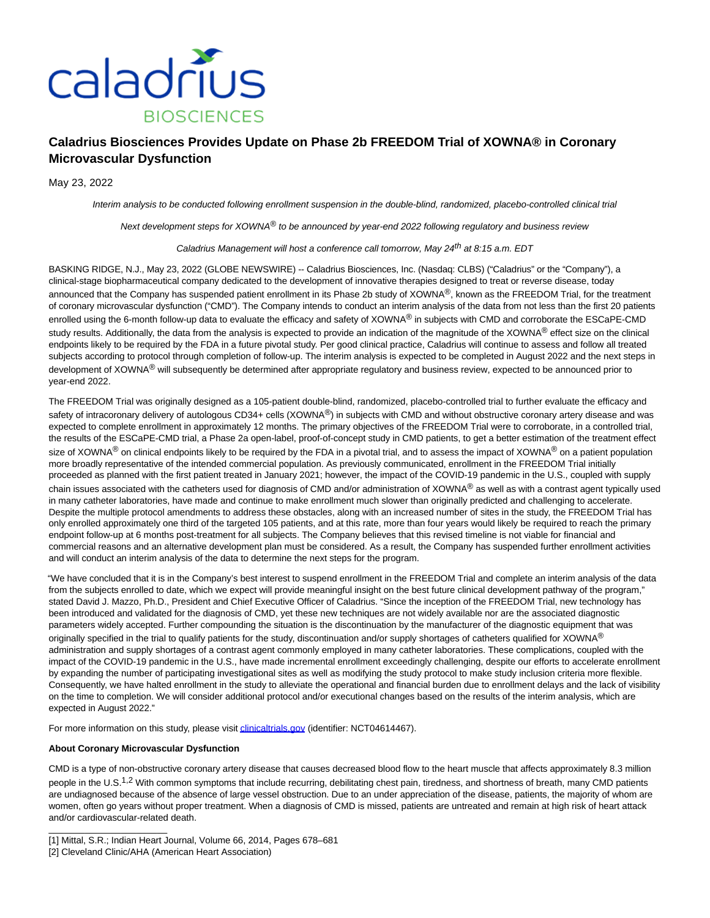

# **Caladrius Biosciences Provides Update on Phase 2b FREEDOM Trial of XOWNA® in Coronary Microvascular Dysfunction**

May 23, 2022

Interim analysis to be conducted following enrollment suspension in the double-blind, randomized, placebo-controlled clinical trial

Next development steps for XOWNA® to be announced by year-end 2022 following regulatory and business review

# Caladrius Management will host a conference call tomorrow, May 24<sup>th</sup> at 8:15 a.m. EDT

BASKING RIDGE, N.J., May 23, 2022 (GLOBE NEWSWIRE) -- Caladrius Biosciences, Inc. (Nasdaq: CLBS) ("Caladrius" or the "Company"), a clinical-stage biopharmaceutical company dedicated to the development of innovative therapies designed to treat or reverse disease, today announced that the Company has suspended patient enrollment in its Phase 2b study of XOWNA<sup>®</sup>, known as the FREEDOM Trial, for the treatment of coronary microvascular dysfunction ("CMD"). The Company intends to conduct an interim analysis of the data from not less than the first 20 patients enrolled using the 6-month follow-up data to evaluate the efficacy and safety of XOWNA® in subjects with CMD and corroborate the ESCaPE-CMD study results. Additionally, the data from the analysis is expected to provide an indication of the magnitude of the XOWNA® effect size on the clinical endpoints likely to be required by the FDA in a future pivotal study. Per good clinical practice, Caladrius will continue to assess and follow all treated subjects according to protocol through completion of follow-up. The interim analysis is expected to be completed in August 2022 and the next steps in development of XOWNA<sup>®</sup> will subsequently be determined after appropriate regulatory and business review, expected to be announced prior to year-end 2022.

The FREEDOM Trial was originally designed as a 105-patient double-blind, randomized, placebo-controlled trial to further evaluate the efficacy and safety of intracoronary delivery of autologous CD34+ cells (XOWNA®) in subjects with CMD and without obstructive coronary artery disease and was expected to complete enrollment in approximately 12 months. The primary objectives of the FREEDOM Trial were to corroborate, in a controlled trial, the results of the ESCaPE-CMD trial, a Phase 2a open-label, proof-of-concept study in CMD patients, to get a better estimation of the treatment effect size of XOWNA<sup>®</sup> on clinical endpoints likely to be required by the FDA in a pivotal trial, and to assess the impact of XOWNA<sup>®</sup> on a patient population more broadly representative of the intended commercial population. As previously communicated, enrollment in the FREEDOM Trial initially proceeded as planned with the first patient treated in January 2021; however, the impact of the COVID-19 pandemic in the U.S., coupled with supply chain issues associated with the catheters used for diagnosis of CMD and/or administration of XOWNA® as well as with a contrast agent typically used in many catheter laboratories, have made and continue to make enrollment much slower than originally predicted and challenging to accelerate. Despite the multiple protocol amendments to address these obstacles, along with an increased number of sites in the study, the FREEDOM Trial has only enrolled approximately one third of the targeted 105 patients, and at this rate, more than four years would likely be required to reach the primary endpoint follow-up at 6 months post-treatment for all subjects. The Company believes that this revised timeline is not viable for financial and commercial reasons and an alternative development plan must be considered. As a result, the Company has suspended further enrollment activities and will conduct an interim analysis of the data to determine the next steps for the program.

"We have concluded that it is in the Company's best interest to suspend enrollment in the FREEDOM Trial and complete an interim analysis of the data from the subjects enrolled to date, which we expect will provide meaningful insight on the best future clinical development pathway of the program," stated David J. Mazzo, Ph.D., President and Chief Executive Officer of Caladrius. "Since the inception of the FREEDOM Trial, new technology has been introduced and validated for the diagnosis of CMD, yet these new techniques are not widely available nor are the associated diagnostic parameters widely accepted. Further compounding the situation is the discontinuation by the manufacturer of the diagnostic equipment that was originally specified in the trial to qualify patients for the study, discontinuation and/or supply shortages of catheters qualified for XOWNA® administration and supply shortages of a contrast agent commonly employed in many catheter laboratories. These complications, coupled with the impact of the COVID-19 pandemic in the U.S., have made incremental enrollment exceedingly challenging, despite our efforts to accelerate enrollment by expanding the number of participating investigational sites as well as modifying the study protocol to make study inclusion criteria more flexible. Consequently, we have halted enrollment in the study to alleviate the operational and financial burden due to enrollment delays and the lack of visibility on the time to completion. We will consider additional protocol and/or executional changes based on the results of the interim analysis, which are expected in August 2022."

For more information on this study, please visit *clinicaltrials.gov* (identifier: NCT04614467).

#### **About Coronary Microvascular Dysfunction**

 $\_$ 

CMD is a type of non-obstructive coronary artery disease that causes decreased blood flow to the heart muscle that affects approximately 8.3 million people in the U.S.<sup>1,2</sup> With common symptoms that include recurring, debilitating chest pain, tiredness, and shortness of breath, many CMD patients are undiagnosed because of the absence of large vessel obstruction. Due to an under appreciation of the disease, patients, the majority of whom are women, often go years without proper treatment. When a diagnosis of CMD is missed, patients are untreated and remain at high risk of heart attack and/or cardiovascular-related death.

<sup>[1]</sup> Mittal, S.R.; Indian Heart Journal, Volume 66, 2014, Pages 678–681

<sup>[2]</sup> Cleveland Clinic/AHA (American Heart Association)